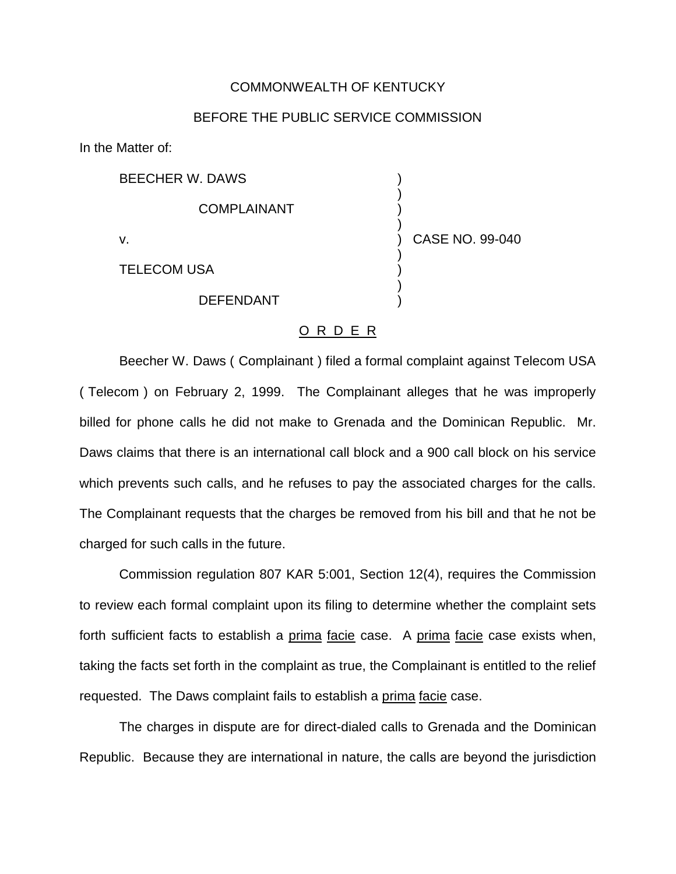## COMMONWEALTH OF KENTUCKY

## BEFORE THE PUBLIC SERVICE COMMISSION

)

)

)

)

In the Matter of:

BEECHER W. DAWS )

**COMPLAINANT** 

v. ) CASE NO. 99-040

TELECOM USA )

**DEFENDANT** 

## O R D E R

Beecher W. Daws ( Complainant ) filed a formal complaint against Telecom USA ( Telecom ) on February 2, 1999. The Complainant alleges that he was improperly billed for phone calls he did not make to Grenada and the Dominican Republic. Mr. Daws claims that there is an international call block and a 900 call block on his service which prevents such calls, and he refuses to pay the associated charges for the calls. The Complainant requests that the charges be removed from his bill and that he not be charged for such calls in the future.

Commission regulation 807 KAR 5:001, Section 12(4), requires the Commission to review each formal complaint upon its filing to determine whether the complaint sets forth sufficient facts to establish a prima facie case. A prima facie case exists when, taking the facts set forth in the complaint as true, the Complainant is entitled to the relief requested. The Daws complaint fails to establish a prima facie case.

The charges in dispute are for direct-dialed calls to Grenada and the Dominican Republic. Because they are international in nature, the calls are beyond the jurisdiction